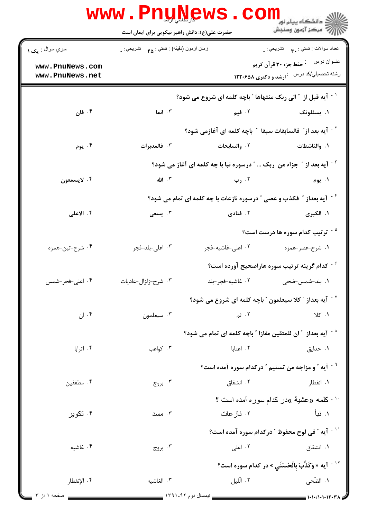|                                    |                                             | <b>WWW.PNUNEWS.COILL</b>                                                         |                                                                                           |
|------------------------------------|---------------------------------------------|----------------------------------------------------------------------------------|-------------------------------------------------------------------------------------------|
| سري سوال : مک ١                    | زمان أزمون (دقيقه) : تستي : ۴۵ – تشريحي : . |                                                                                  | تعداد سوالات : تستي : پم       تشريحي : .                                                 |
| www.PnuNews.com<br>www.PnuNews.net |                                             |                                                                                  | عفوان درس في خفظ جزء ٣٠ قرآن كريم<br>رشته تحصیلي/کد درس <sup>:</sup> ارشد و دکتری ۱۲۲۰۶۵۸ |
|                                    |                                             | <sup>۱ -</sup> آیه قبل از ″الی ربک منتهاها ″ باچه کلمه ای شروع می شود؟           |                                                                                           |
| ۰۴ فان                             | ۰۳ انما                                     | ۲. فیم                                                                           | ۰۱ يسئلونک                                                                                |
|                                    |                                             | <sup>٢ -</sup> آيه بعد از ؒ فالسابقات سبقا  ؒ باچه كلمه اى آغازمى شود؟           |                                                                                           |
| ۰۴ يوم                             | ۰۳ فالمدبرات                                | ۰۲ والسابحات                                                                     | ١. والناشطات                                                                              |
|                                    |                                             | <sup>۳ -</sup> آیه بعد از ″ جزاء من ربک  ″ درسوره نبا با چه کلمه ای آغاز می شود؟ |                                                                                           |
| ۰۴ لايسمعون                        | ۰۳ الله                                     | ۲. رب                                                                            | ۰۱ يوم                                                                                    |
|                                    |                                             | <sup>۴ -</sup> آیه بعداز ″ فکذب و عصی ″ درسوره نازعات با چه کلمه ای تمام می شود؟ |                                                                                           |
| ۰۴ الاعلی                          | ۰۳ يسعى                                     | ۰۲ فنادی                                                                         | ۱. الکبری                                                                                 |
|                                    |                                             |                                                                                  | <sup>۵ -</sup> ترتیب کدام سوره ها درست است؟                                               |
| ۰۴ شرح-تين-همزه                    | ۰۳ اعلی-بلد-فجر                             | ٠٢ اعلى-غاشيه-فجر                                                                | ۱. شرح-عصر-همزه                                                                           |
|                                    |                                             |                                                                                  |                                                                                           |
| ۰۴ اعلی-فجر-شمس                    | ۰۳ شرح-زلزال-عادیات                         | ٠٢ غاشيه-فجر-بلد                                                                 | 1. بلد-شمس-ضحى                                                                            |
|                                    |                                             | اً یه بعداز " کلا سیعلمون " باچه کلمه ای شروع می شود " $\cdot$                   |                                                                                           |
| ۰۴ ان                              | ۰۳ سیعلمون                                  | ۰۲ ثم                                                                            | 1.7                                                                                       |
|                                    |                                             | <sup>^ -</sup> آيه بعداز ″ ان للمتقين مفازا ″ باچه كلمه اي تمام مي شود؟          |                                                                                           |
| ۰۴ اترابا                          | ۰۳ کواعب                                    | ٠٢ اعنايا                                                                        | ۰۱ حدایق                                                                                  |
|                                    |                                             | <sup>۹ -</sup> آیه ″ و مزاجه من تسنیم ″ درکدام سوره آمده است؟                    |                                                                                           |
| ۰۴ مطففین                          | ۰۳ بروج                                     | ۰۲ انشقاق                                                                        | ۰۱ انفطار                                                                                 |
|                                    |                                             |                                                                                  | <sup>۱۰ -</sup> كلمه «عشية »در كدام سوره أمده است ؟                                       |
| ۰۴ تکویر                           | ۰۳ مسد                                      | ۲. ناز عات                                                                       | ۱. نبأ                                                                                    |
|                                    |                                             |                                                                                  | `` - آيه ″ في لوح محفوظ ″ دركدام سوره آمده است؟                                           |
| ۰۴ غاشیه                           | ۰۳ بروج                                     | ۰۲ اعلی                                                                          | ۰۱ انشقاق                                                                                 |
|                                    |                                             |                                                                                  | <sup>۱۲ -</sup> آيه « وَكَذَّبَ بالْحُسْنَي » در كدام سوره است؟                           |
| ۴. الإنفطار                        | ۰۳ الغاشيه                                  | ۰۲ الّليل                                                                        | ١. الضّحى                                                                                 |
| صفحه ۱ از ۳                        |                                             |                                                                                  | $1 - 1 - 11 - 11 - 17 - 17$                                                               |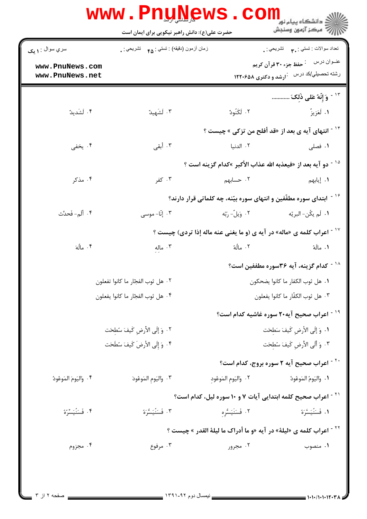| تعداد سوالات : تستي : ٩. تشريحي : .                                               |                         | زمان أزمون (دقيقه) : تستي : <sub>۴۵</sub> تشريحي : <sub>•</sub> | سري سوال : ۱ مک         |
|-----------------------------------------------------------------------------------|-------------------------|-----------------------------------------------------------------|-------------------------|
| عنــوان درس مسلم خزء ٣٠ قرآن كريم                                                 |                         |                                                                 | www.PnuNews.com         |
| رشته تحصیلي/کد درس مفرار نور دکتری ۱۲۲۰۶۵۸                                        |                         |                                                                 | www.PnuNews.net         |
| <sup>۱۳ -</sup> وَ إِنَّهُ عَلى ذَلِكَ                                            |                         |                                                                 |                         |
| ١. لَعَزِيزٌ                                                                      | ۲. لَكَنُودٌ            | ۰۳ لَشَهِيدٌ                                                    | ۰۴ لَشَديدٌ             |
| <sup>۱۴ -</sup> انتهای آیه ی بعد از «قد أفلح من تزکی » چیست ؟                     |                         |                                                                 |                         |
| ۰۱ فصلی                                                                           | ٢. الدنيا               | ۰۳ أبقى                                                         | ۰۴ يخفي                 |
| <sup>10 -</sup> دو آيه بعد از «فيعذبه الله عذاب الأكبر »كدام گزينه است ؟          |                         |                                                                 |                         |
| ۰۱ إيابهم                                                                         | ۲. حسابهم               | ۰۳ کفر                                                          | ۰۴ مذکر                 |
| <sup>۱۶ -</sup> ابتدای سوره مطفّفین و انتهای سوره بیّنه، چه کلماتی قرار دارند؟    |                         |                                                                 |                         |
| ٠١. لَم يكُن- البريّه                                                             | ۰۲ وَيلٌ- رَبّه         | ۰۳ إنّا- موسى                                                   | ۴. أَلَم- فَحدِّث       |
| <sup>۱۷ -</sup> اعراب کلمه ی «ماله» در آیه ی (و ما یغنی عنه ماله إذا تردی) چیست ؟ |                         |                                                                 |                         |
| ١. مالَهُ                                                                         | ٢. مالُهُ               | ۰۳ ماله                                                         | ۰۴ مالُهَ               |
| <sup>۱۸ -</sup> کدام گزینه، آیه ۳۶سوره مطففین است؟                                |                         |                                                                 |                         |
| ٠١ هل ثوب الكفار ما كانوا يضحكون                                                  |                         | ٠٢ هل ثوب الفجّار ما كانوا تفعلون                               |                         |
| ٠٣ هل ثوب الكفّار ما كانوا يفعلون                                                 |                         | ٠۴ هل ثوب الفجّار ما كانوا يفعلون                               |                         |
| <sup>۱۹ -</sup> اعراب صحیح آیه۲۰ سوره غاشیه کدام است؟                             |                         |                                                                 |                         |
| ٠١. وَ إِلَى الأَرضِ كَيفَ سَطِحَت                                                |                         | ٢. وَ إِلَى الأَرضِ كَيفَ سُطِحَت                               |                         |
| ٠٣ وَ أَلَى الأَرضِ كَيفَ سُطِحَت                                                 |                         | ۰۴ وَ إِلَى الأرضَ كَيفَ سُطَحَت                                |                         |
| <sup>۲۰ -</sup> اعراب صحیح آیه ۲ سوره بروج، کدام است؟                             |                         |                                                                 |                         |
| ٠١. وَاليَومُ المَوعُودُ                                                          | ٠٢ وَاليَومِ المَوعُودِ | ٠٣ وَاليَومِ المَوعُودَ                                         | ۰۴ وَاليَومَ المَوعُودُ |
| <sup>۲۱ -</sup> اعراب صحیح کلمه ابتدایی آیات ۷ و ۱۰ سوره لیل، کدام است؟           |                         |                                                                 |                         |
| ١. فَسَنُيَسَّرَهُ                                                                | ٢. فَسَنَيَسُّره        | ۰۳ فَسَنُيَسُّرَهُ                                              | ۴. فَسَنُيَسِّرُهُ      |
| <sup>۲۲ -</sup> اعراب کلمه ی «لیلهٔ» در آیه «و ما أدراک ما لیلهٔ القدر » چیست ؟   |                         |                                                                 |                         |
| ۰۱ منصوب                                                                          | ۰۲ مجرور                | ۰۳ مرفوع                                                        | ۰۴ مجزوم                |